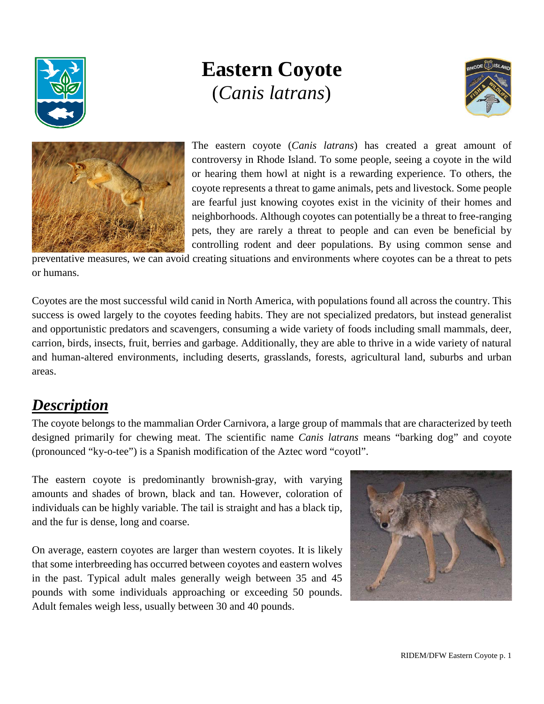

# **Eastern Coyote** (*Canis latrans*)





The eastern coyote (*Canis latrans*) has created a great amount of controversy in Rhode Island. To some people, seeing a coyote in the wild or hearing them howl at night is a rewarding experience. To others, the coyote represents a threat to game animals, pets and livestock. Some people are fearful just knowing coyotes exist in the vicinity of their homes and neighborhoods. Although coyotes can potentially be a threat to free-ranging pets, they are rarely a threat to people and can even be beneficial by controlling rodent and deer populations. By using common sense and

preventative measures, we can avoid creating situations and environments where coyotes can be a threat to pets or humans.

Coyotes are the most successful wild canid in North America, with populations found all across the country. This success is owed largely to the coyotes feeding habits. They are not specialized predators, but instead generalist and opportunistic predators and scavengers, consuming a wide variety of foods including small mammals, deer, carrion, birds, insects, fruit, berries and garbage. Additionally, they are able to thrive in a wide variety of natural and human-altered environments, including deserts, grasslands, forests, agricultural land, suburbs and urban areas.

# *Description*

The coyote belongs to the mammalian Order Carnivora, a large group of mammals that are characterized by teeth designed primarily for chewing meat. The scientific name *Canis latrans* means "barking dog" and coyote (pronounced "ky-o-tee") is a Spanish modification of the Aztec word "coyotl".

The eastern coyote is predominantly brownish-gray, with varying amounts and shades of brown, black and tan. However, coloration of individuals can be highly variable. The tail is straight and has a black tip, and the fur is dense, long and coarse.

On average, eastern coyotes are larger than western coyotes. It is likely that some interbreeding has occurred between coyotes and eastern wolves in the past. Typical adult males generally weigh between 35 and 45 pounds with some individuals approaching or exceeding 50 pounds. Adult females weigh less, usually between 30 and 40 pounds.

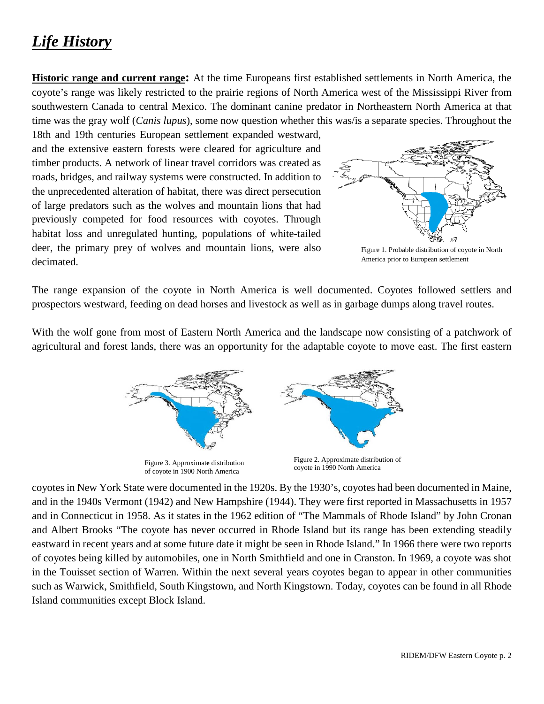# *Life History*

**Historic range and current range:** At the time Europeans first established settlements in North America, the coyote's range was likely restricted to the prairie regions of North America west of the Mississippi River from southwestern Canada to central Mexico. The dominant canine predator in Northeastern North America at that time was the gray wolf (*Canis lupus*), some now question whether this was/is a separate species. Throughout the

18th and 19th centuries European settlement expanded westward, and the extensive eastern forests were cleared for agriculture and timber products. A network of linear travel corridors was created as roads, bridges, and railway systems were constructed. In addition to the unprecedented alteration of habitat, there was direct persecution of large predators such as the wolves and mountain lions that had previously competed for food resources with coyotes. Through habitat loss and unregulated hunting, populations of white-tailed deer, the primary prey of wolves and mountain lions, were also decimated.



Figure 1. Probable distribution of coyote in North America prior to European settlement

The range expansion of the coyote in North America is well documented. Coyotes followed settlers and prospectors westward, feeding on dead horses and livestock as well as in garbage dumps along travel routes.

With the wolf gone from most of Eastern North America and the landscape now consisting of a patchwork of agricultural and forest lands, there was an opportunity for the adaptable coyote to move east. The first eastern







coyotes in New York State were documented in the 1920s. By the 1930's, coyotes had been documented in Maine, and in the 1940s Vermont (1942) and New Hampshire (1944). They were first reported in Massachusetts in 1957 and in Connecticut in 1958. As it states in the 1962 edition of "The Mammals of Rhode Island" by John Cronan and Albert Brooks "The coyote has never occurred in Rhode Island but its range has been extending steadily eastward in recent years and at some future date it might be seen in Rhode Island." In 1966 there were two reports of coyotes being killed by automobiles, one in North Smithfield and one in Cranston. In 1969, a coyote was shot in the Touisset section of Warren. Within the next several years coyotes began to appear in other communities such as Warwick, Smithfield, South Kingstown, and North Kingstown. Today, coyotes can be found in all Rhode Island communities except Block Island.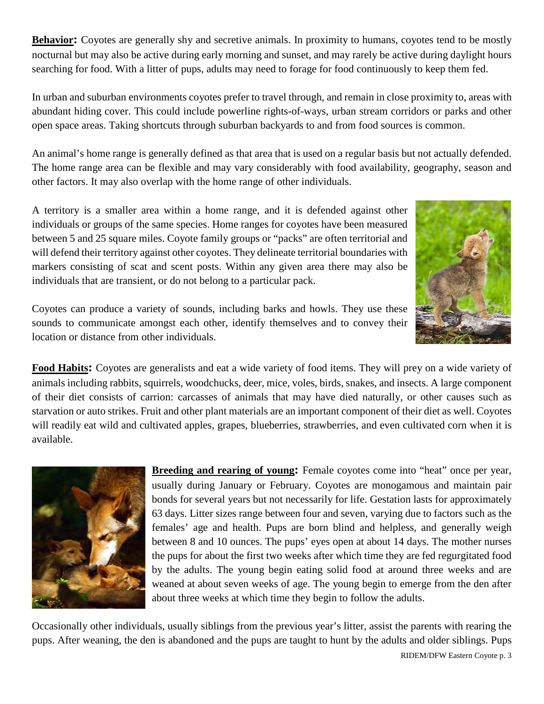**Behavior:** Coyotes are generally shy and secretive animals. In proximity to humans, coyotes tend to be mostly nocturnal but may also be active during early morning and sunset, and may rarely be active during daylight hours searching for food. With a litter of pups, adults may need to forage for food continuously to keep them fed.

In urban and suburban environments coyotes prefer to travel through, and remain in close proximity to, areas with abundant hiding cover. This could include powerline rights-of-ways, urban stream corridors or parks and other open space areas. Taking shortcuts through suburban backyards to and from food sources is common.

An animal's home range is generally defined as that area that is used on a regular basis but not actually defended. The home range area can be flexible and may vary considerably with food availability, geography, season and other factors. It may also overlap with the home range of other individuals.

A territory is a smaller area within a home range, and it is defended against other individuals or groups of the same species. Home ranges for coyotes have been measured between 5 and 25 square miles. Coyote family groups or "packs" are often territorial and will defend their territory against other coyotes. They delineate territorial boundaries with markers consisting of scat and scent posts. Within any given area there may also be individuals that are transient, or do not belong to a particular pack.



Coyotes can produce a variety of sounds, including barks and howls. They use these sounds to communicate amongst each other, identify themselves and to convey their location or distance from other individuals.

**Food Habits:** Coyotes are generalists and eat a wide variety of food items. They will prey on a wide variety of animals including rabbits, squirrels, woodchucks, deer, mice, voles, birds, snakes, and insects. A large component of their diet consists of carrion: carcasses of animals that may have died naturally, or other causes such as starvation or auto strikes. Fruit and other plant materials are an important component of their diet as well. Coyotes will readily eat wild and cultivated apples, grapes, blueberries, strawberries, and even cultivated corn when it is available.



**Breeding and rearing of young:** Female coyotes come into "heat" once per year, usually during January or February. Coyotes are monogamous and maintain pair bonds for several years but not necessarily for life. Gestation lasts for approximately 63 days. Litter sizes range between four and seven, varying due to factors such as the females' age and health. Pups are born blind and helpless, and generally weigh between 8 and 10 ounces. The pups' eyes open at about 14 days. The mother nurses the pups for about the first two weeks after which time they are fed regurgitated food by the adults. The young begin eating solid food at around three weeks and are weaned at about seven weeks of age. The young begin to emerge from the den after about three weeks at which time they begin to follow the adults.

Occasionally other individuals, usually siblings from the previous year's litter, assist the parents with rearing the pups. After weaning, the den is abandoned and the pups are taught to hunt by the adults and older siblings. Pups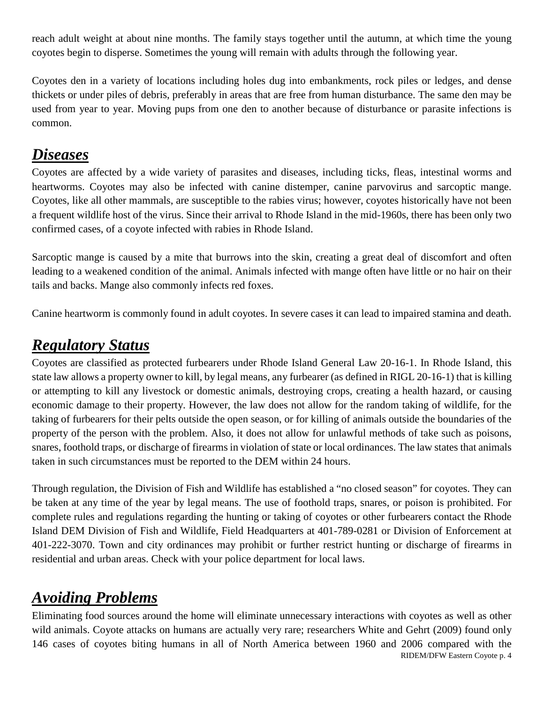reach adult weight at about nine months. The family stays together until the autumn, at which time the young coyotes begin to disperse. Sometimes the young will remain with adults through the following year.

Coyotes den in a variety of locations including holes dug into embankments, rock piles or ledges, and dense thickets or under piles of debris, preferably in areas that are free from human disturbance. The same den may be used from year to year. Moving pups from one den to another because of disturbance or parasite infections is common.

### *Diseases*

Coyotes are affected by a wide variety of parasites and diseases, including ticks, fleas, intestinal worms and heartworms. Coyotes may also be infected with canine distemper, canine parvovirus and sarcoptic mange. Coyotes, like all other mammals, are susceptible to the rabies virus; however, coyotes historically have not been a frequent wildlife host of the virus. Since their arrival to Rhode Island in the mid-1960s, there has been only two confirmed cases, of a coyote infected with rabies in Rhode Island.

Sarcoptic mange is caused by a mite that burrows into the skin, creating a great deal of discomfort and often leading to a weakened condition of the animal. Animals infected with mange often have little or no hair on their tails and backs. Mange also commonly infects red foxes.

Canine heartworm is commonly found in adult coyotes. In severe cases it can lead to impaired stamina and death.

# *Regulatory Status*

Coyotes are classified as protected furbearers under Rhode Island General Law 20-16-1. In Rhode Island, this state law allows a property owner to kill, by legal means, any furbearer (as defined in RIGL 20-16-1) that is killing or attempting to kill any livestock or domestic animals, destroying crops, creating a health hazard, or causing economic damage to their property. However, the law does not allow for the random taking of wildlife, for the taking of furbearers for their pelts outside the open season, or for killing of animals outside the boundaries of the property of the person with the problem. Also, it does not allow for unlawful methods of take such as poisons, snares, foothold traps, or discharge of firearms in violation of state or local ordinances. The law states that animals taken in such circumstances must be reported to the DEM within 24 hours.

Through regulation, the Division of Fish and Wildlife has established a "no closed season" for coyotes. They can be taken at any time of the year by legal means. The use of foothold traps, snares, or poison is prohibited. For complete rules and regulations regarding the hunting or taking of coyotes or other furbearers contact the Rhode Island DEM Division of Fish and Wildlife, Field Headquarters at 401-789-0281 or Division of Enforcement at 401-222-3070. Town and city ordinances may prohibit or further restrict hunting or discharge of firearms in residential and urban areas. Check with your police department for local laws.

# *Avoiding Problems*

RIDEM/DFW Eastern Coyote p. 4 Eliminating food sources around the home will eliminate unnecessary interactions with coyotes as well as other wild animals. Coyote attacks on humans are actually very rare; researchers White and Gehrt (2009) found only 146 cases of coyotes biting humans in all of North America between 1960 and 2006 compared with the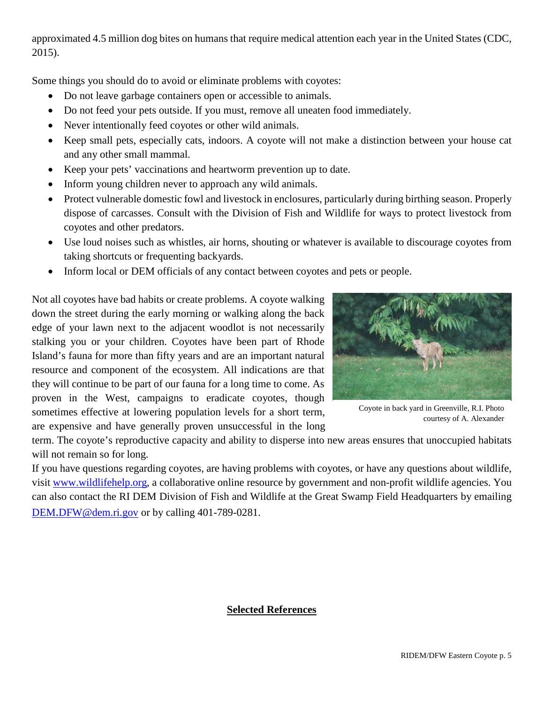approximated 4.5 million dog bites on humans that require medical attention each year in the United States (CDC, 2015).

Some things you should do to avoid or eliminate problems with coyotes:

- Do not leave garbage containers open or accessible to animals.
- Do not feed your pets outside. If you must, remove all uneaten food immediately.
- Never intentionally feed coyotes or other wild animals.
- Keep small pets, especially cats, indoors. A coyote will not make a distinction between your house cat and any other small mammal.
- Keep your pets' vaccinations and heartworm prevention up to date.
- Inform young children never to approach any wild animals.
- Protect vulnerable domestic fowl and livestock in enclosures, particularly during birthing season. Properly dispose of carcasses. Consult with the Division of Fish and Wildlife for ways to protect livestock from coyotes and other predators.
- Use loud noises such as whistles, air horns, shouting or whatever is available to discourage coyotes from taking shortcuts or frequenting backyards.
- Inform local or DEM officials of any contact between coyotes and pets or people.

Not all coyotes have bad habits or create problems. A coyote walking down the street during the early morning or walking along the back edge of your lawn next to the adjacent woodlot is not necessarily stalking you or your children. Coyotes have been part of Rhode Island's fauna for more than fifty years and are an important natural resource and component of the ecosystem. All indications are that they will continue to be part of our fauna for a long time to come. As proven in the West, campaigns to eradicate coyotes, though sometimes effective at lowering population levels for a short term, are expensive and have generally proven unsuccessful in the long



Coyote in back yard in Greenville, R.I. Photo courtesy of A. Alexander

term. The coyote's reproductive capacity and ability to disperse into new areas ensures that unoccupied habitats will not remain so for long.

If you have questions regarding coyotes, are having problems with coyotes, or have any questions about wildlife, visit [www.wildlifehelp.org,](http://www.wildlifehelp.org/) a collaborative online resource by government and non-profit wildlife agencies. You can also contact the RI DEM Division of Fish and Wildlife at the Great Swamp Field Headquarters by emailing [DEM.DFW@dem.ri.gov](mailto:DEM.DFW@dem.ri.gov) or by calling 401-789-0281.

#### **Selected References**